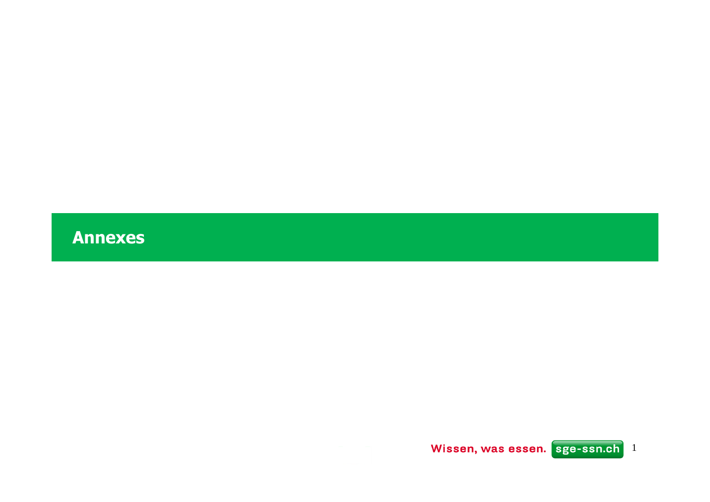**Annexes**

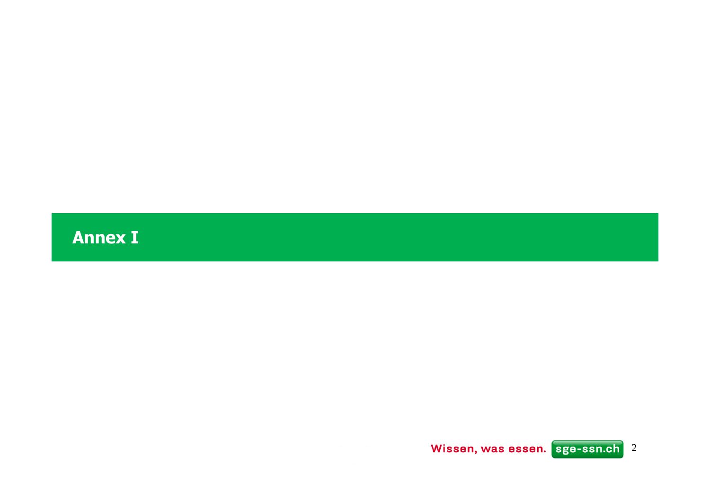**Annex I**

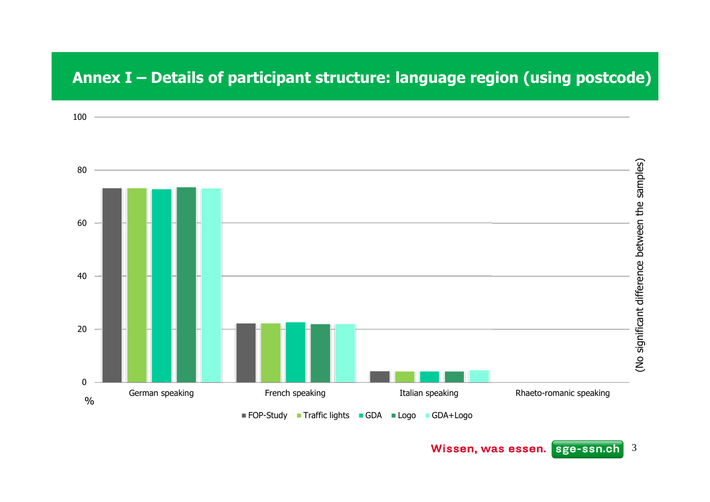### **Annex I – Details of participant structure: language region (using postcode)**

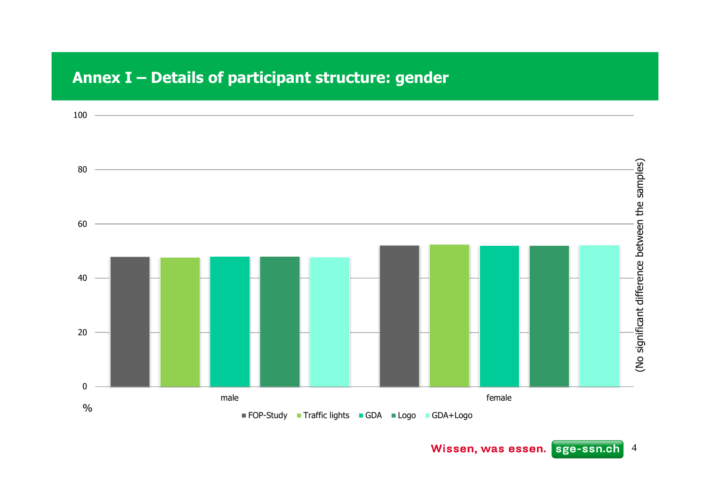### **Annex I – Details of participant structure: gender**

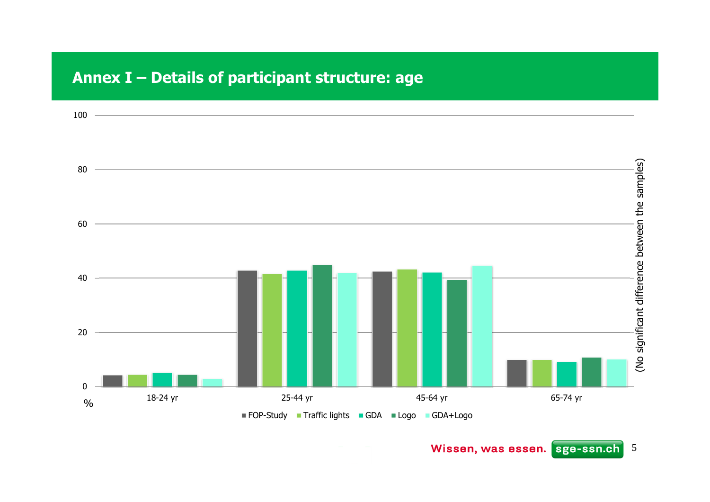### **Annex I – Details of participant structure: age**



Wissen, was essen. sge-ssn.ch<sup>5</sup>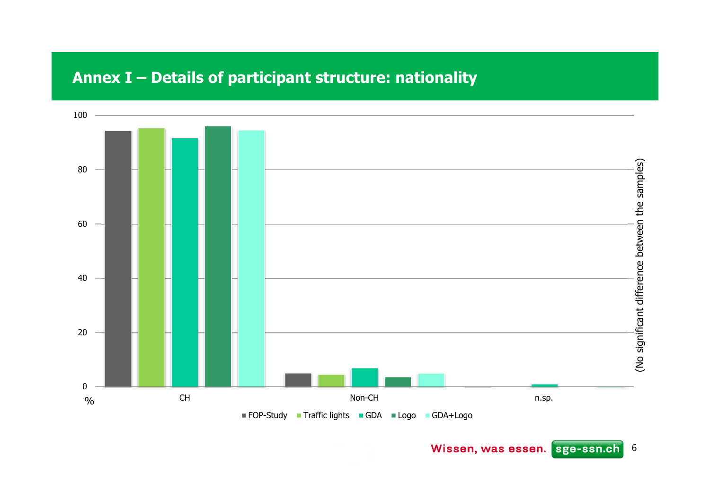### **Annex I – Details of participant structure: nationality**

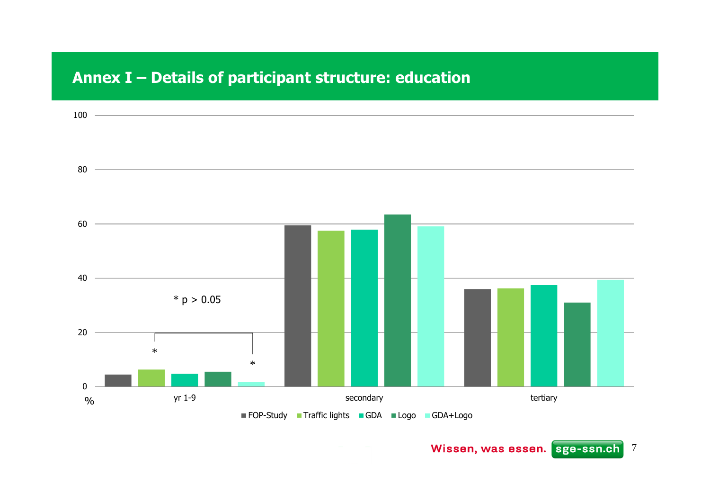### **Annex I – Details of participant structure: education**



Wissen, was essen. sge-ssn.ch<sup>7</sup>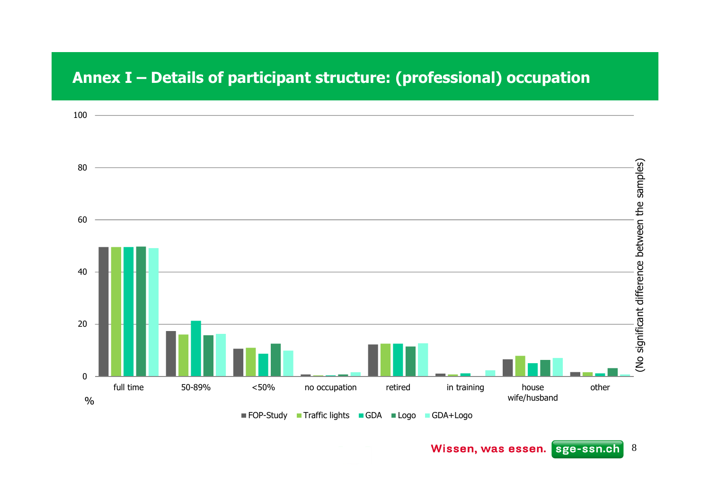### **Annex I – Details of participant structure: (professional) occupation**

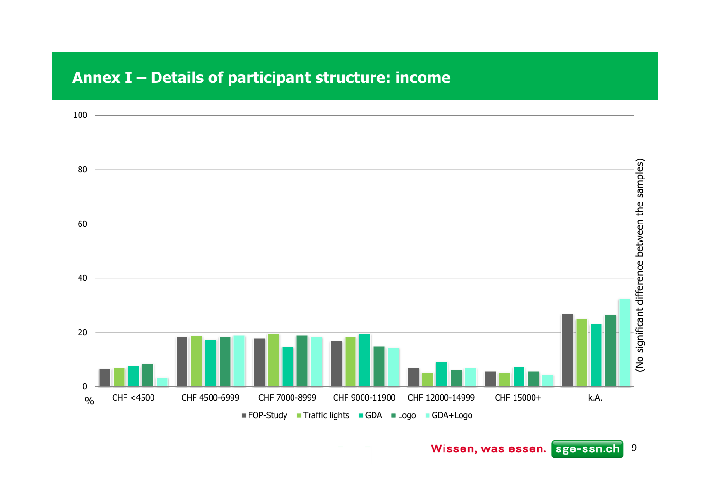### **Annex I – Details of participant structure: income**

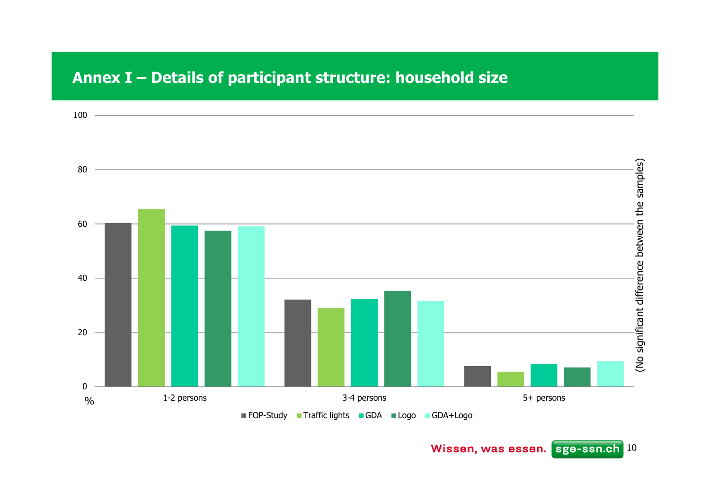### **Annex I – Details of participant structure: household size**

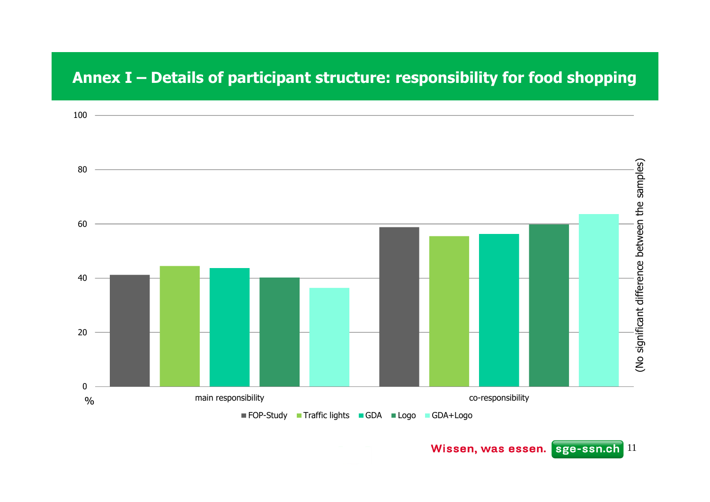### **Annex I – Details of participant structure: responsibility for food shopping**



Wissen, was essen. sge-ssn.ch<sup>11</sup>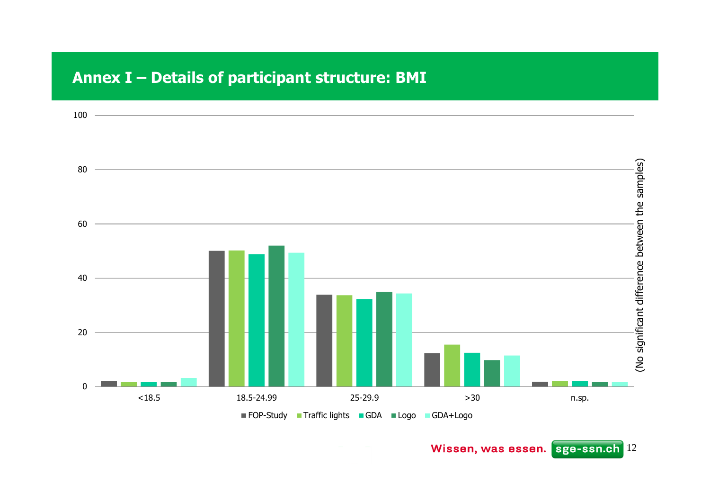### **Annex I – Details of participant structure: BMI**

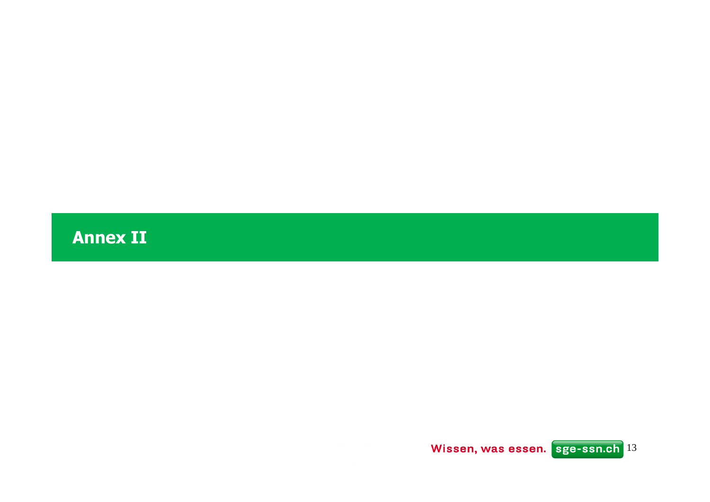**Annex II**

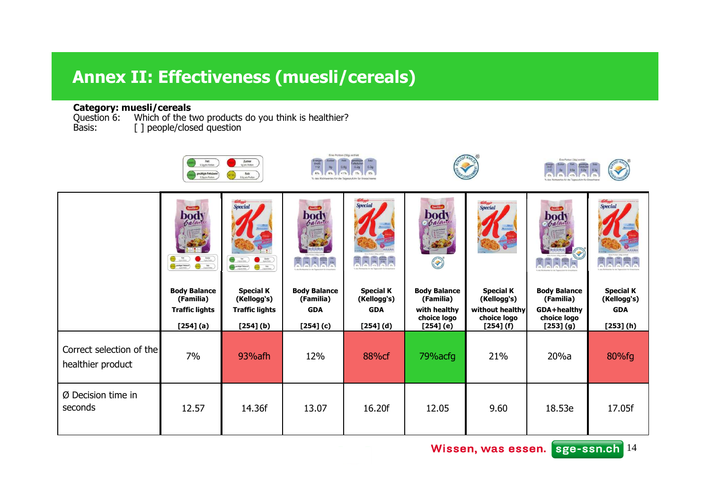### **Annex II: Effectiveness (muesli/cereals)**

**Category: muesli/cereals** Question 6: Which of the two products do you think is healthier? Basis: [ ] people/closed question

|                                               | Fett<br>1.5g pro Portion<br>gesättigte Fettsäurer<br>0.2g pro Porton                                                                                                                                                                                                                                                                                                                                                                                                                                                                                                                                                                                                                                                                                    | Zucker<br>Spipe Porten<br>Salz<br>0.3g pro Portion                                                                                                                                                                                                                      | Energie<br>(kical)<br>112<br>6%  | Eine Portion (30g) enthalt<br>0.20   |                                                                       |                                             | Eine Portion (30g) enthält              |                                 |
|-----------------------------------------------|---------------------------------------------------------------------------------------------------------------------------------------------------------------------------------------------------------------------------------------------------------------------------------------------------------------------------------------------------------------------------------------------------------------------------------------------------------------------------------------------------------------------------------------------------------------------------------------------------------------------------------------------------------------------------------------------------------------------------------------------------------|-------------------------------------------------------------------------------------------------------------------------------------------------------------------------------------------------------------------------------------------------------------------------|----------------------------------|--------------------------------------|-----------------------------------------------------------------------|---------------------------------------------|-----------------------------------------|---------------------------------|
|                                               | body<br>$\begin{picture}(20,20) \put(0,0){\line(1,0){10}} \put(15,0){\line(1,0){10}} \put(15,0){\line(1,0){10}} \put(15,0){\line(1,0){10}} \put(15,0){\line(1,0){10}} \put(15,0){\line(1,0){10}} \put(15,0){\line(1,0){10}} \put(15,0){\line(1,0){10}} \put(15,0){\line(1,0){10}} \put(15,0){\line(1,0){10}} \put(15,0){\line(1,0){10}} \put(15,0){\line(1$<br>$\frac{4\pi}{\omega_0\omega_0}$ )<br>$\begin{picture}(180,10) \put(0,0){\line(1,0){10}} \put(10,0){\line(1,0){10}} \put(10,0){\line(1,0){10}} \put(10,0){\line(1,0){10}} \put(10,0){\line(1,0){10}} \put(10,0){\line(1,0){10}} \put(10,0){\line(1,0){10}} \put(10,0){\line(1,0){10}} \put(10,0){\line(1,0){10}} \put(10,0){\line(1,0){10}} \put(10,0){\line(1,0){10}} \put(10,0){\line($ | <b>Special</b><br>$\bigodot$ $\frac{1}{120}$<br>$\begin{pmatrix} & & & \\ & & & \\ & & & \\ & & & \\ & & & \\ & & & \\ & & & \\ & & & & \\ \end{pmatrix}$<br>$\bigodot \underbrace{\hspace{1.5cm}}_{\hspace{1.5cm}\text{is prime}}$<br>$\bigcirc$ $\bigcirc$ $\bigcirc$ | body<br>balant                   | <i><b>Special</b></i><br>$rac{1}{2}$ | <b>fomilia</b><br><b>body</b><br><b>Contract of the Second Street</b> | <b>Kelloggi</b><br>Special                  | bod<br><i>b</i> alay                    | <b>Special</b>                  |
|                                               | <b>Body Balance</b><br>(Familia)                                                                                                                                                                                                                                                                                                                                                                                                                                                                                                                                                                                                                                                                                                                        | <b>Special K</b><br>(Kellogg's)                                                                                                                                                                                                                                         | <b>Body Balance</b><br>(Familia) | <b>Special K</b><br>(Kellogg's)      | <b>Body Balance</b><br>(Familia)                                      | <b>Special K</b><br>(Kellogg's)             | <b>Body Balance</b><br>(Familia)        | <b>Special K</b><br>(Kellogg's) |
|                                               | <b>Traffic lights</b><br>[254] (a)                                                                                                                                                                                                                                                                                                                                                                                                                                                                                                                                                                                                                                                                                                                      | <b>Traffic lights</b><br>$[254]$ (b)                                                                                                                                                                                                                                    | <b>GDA</b><br>$[254]$ (c)        | <b>GDA</b><br>$[254]$ (d)            | with healthy<br>choice logo<br>[254] (e)                              | without healthy<br>choice logo<br>[254] (f) | GDA+healthy<br>choice logo<br>[253] (g) | <b>GDA</b><br>[253] (h)         |
| Correct selection of the<br>healthier product | 7%                                                                                                                                                                                                                                                                                                                                                                                                                                                                                                                                                                                                                                                                                                                                                      | 93% afh                                                                                                                                                                                                                                                                 | 12%                              | 88%cf                                | 79%acfg                                                               | 21%                                         | 20%a                                    | 80%fg                           |
| Ø Decision time in<br>seconds                 | 12.57                                                                                                                                                                                                                                                                                                                                                                                                                                                                                                                                                                                                                                                                                                                                                   | 14.36f                                                                                                                                                                                                                                                                  | 13.07                            | 16.20f                               | 12.05                                                                 | 9.60                                        | 18.53e                                  | 17.05f                          |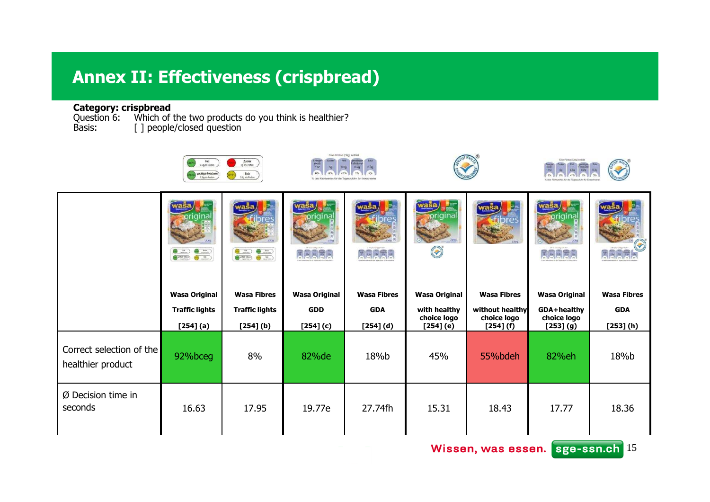### **Annex II: Effectiveness (crispbread)**

**Category: crispbread**<br>Question 6: Which of the two products do you think is healthier?<br>Basis: [ ] people/closed question

|                                               | Fett<br>1.5g pro Portion<br>gesättigte Fettsäuren         | Zucker<br>Spisro Porton<br>Salz<br>0.3g pro Portion                                         | Eine Portion (30g) enthält<br>$\frac{\text{(local)}}{\text{112}}$<br>6% |                       |                             |                                | Eine Portion (30g) enthält |                    |
|-----------------------------------------------|-----------------------------------------------------------|---------------------------------------------------------------------------------------------|-------------------------------------------------------------------------|-----------------------|-----------------------------|--------------------------------|----------------------------|--------------------|
|                                               | $\begin{array}{c} 0.10 & 0.10 \\ 0.10 & 0.10 \end{array}$ | w.<br>wasa<br>$\underbrace{\bullet\Rightarrow\bullet\cdots}_{\bullet\bullet\bullet\bullet}$ | vaŝa<br><b>ELER</b>                                                     | <b>EEE</b>            | priginal<br>D               | wasa                           | <u>wasa</u><br>ARR         |                    |
|                                               | <b>Wasa Original</b>                                      | <b>Wasa Fibres</b>                                                                          | <b>Wasa Original</b>                                                    | <b>Wasa Fibres</b>    | <b>Wasa Original</b>        | <b>Wasa Fibres</b>             | <b>Wasa Original</b>       | <b>Wasa Fibres</b> |
|                                               | <b>Traffic lights</b>                                     | <b>Traffic lights</b>                                                                       | <b>GDD</b>                                                              | <b>GDA</b>            | with healthy<br>choice logo | without healthy<br>choice logo | GDA+healthy<br>choice logo | <b>GDA</b>         |
| Correct selection of the<br>healthier product | [254] (a)<br>92%bceg                                      | $[254]$ (b)<br>8%                                                                           | $[254]$ (c)<br>82%de                                                    | $[254]$ $(d)$<br>18%b | [254] (e)<br>45%            | [254] (f)<br>55%bdeh           | [253] (g)<br>82%eh         | [253] (h)<br>18%b  |
| $Ø$ Decision time in<br>seconds               | 16.63                                                     | 17.95                                                                                       | 19.77e                                                                  | 27.74fh               | 15.31                       | 18.43                          | 17.77                      | 18.36              |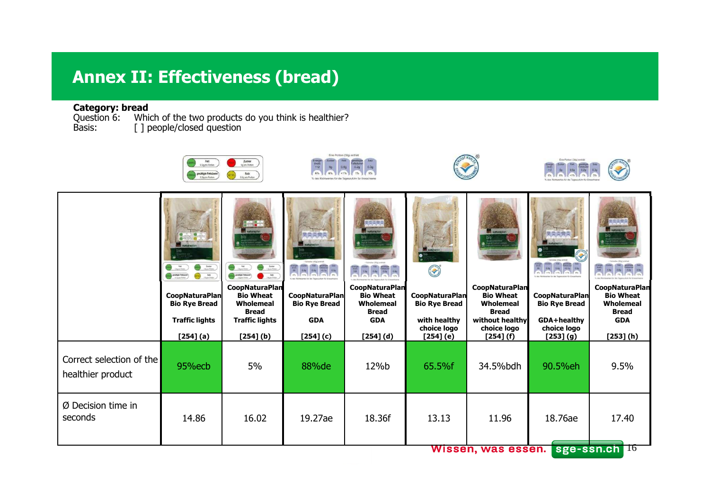## **Annex II: Effectiveness (bread)**

**Category: bread**<br>Question 6: Whi Question 6: Which of the two products do you think is healthier? Basis: [ ] people/closed question

|                                               | Fett<br>1.5g pro Portion<br>gesättigte Fettsäurer<br>0.2g pro Porton                     | Zucker<br>Spipro Portion<br>Salz<br>0.3g pro Portion                                                                                                        | Eine Portion (30g) enthält<br>Energie<br>(kical)<br>112                    |                                                                                                     |                                                                                           |                                                                                                                       | Eine Portion (30g) enthält                                                              |                                                                                                   |
|-----------------------------------------------|------------------------------------------------------------------------------------------|-------------------------------------------------------------------------------------------------------------------------------------------------------------|----------------------------------------------------------------------------|-----------------------------------------------------------------------------------------------------|-------------------------------------------------------------------------------------------|-----------------------------------------------------------------------------------------------------------------------|-----------------------------------------------------------------------------------------|---------------------------------------------------------------------------------------------------|
|                                               | Zabar<br>Hum Fenn<br>$\frac{\text{lab}}{\text{Mg} \times \text{fmin}}$<br>anitip Fession | $\bigodot$ $\frac{4\pi}{(3\pi)^{2}e^{2\pi}}$<br>$\frac{\text{2} \text{obs}}{\text{hypless}}$<br>$$\rm \,km\,$<br>$\bigodot \min_{1 \leq j \leq n \leq n+1}$ | <b>Louise Hind annual</b><br>EEE                                           | <b>AARA</b><br>罰                                                                                    | S                                                                                         |                                                                                                                       | Ŧ                                                                                       |                                                                                                   |
|                                               | <b>CoopNaturaPlan</b><br><b>Bio Rye Bread</b><br><b>Traffic lights</b><br>[254] (a)      | <b>CoopNaturaPlan</b><br><b>Bio Wheat</b><br>Wholemeal<br><b>Bread</b><br><b>Traffic lights</b><br>$[254]$ (b)                                              | <b>CoopNaturaPlan</b><br><b>Bio Rye Bread</b><br><b>GDA</b><br>$[254]$ (c) | <b>CoopNaturaPlan</b><br><b>Bio Wheat</b><br>Wholemeal<br><b>Bread</b><br><b>GDA</b><br>$[254] (d)$ | <b>CoopNaturaPlan</b><br><b>Bio Rye Bread</b><br>with healthy<br>choice logo<br>[254] (e) | <b>CoopNaturaPlan</b><br><b>Bio Wheat</b><br>Wholemeal<br><b>Bread</b><br>without healthy<br>choice logo<br>[254] (f) | <b>CoopNaturaPlan</b><br><b>Bio Rye Bread</b><br>GDA+healthy<br>choice logo<br>[253](9) | <b>CoopNaturaPlan</b><br><b>Bio Wheat</b><br>Wholemeal<br><b>Bread</b><br><b>GDA</b><br>[253] (h) |
| Correct selection of the<br>healthier product | 95%ecb                                                                                   | 5%                                                                                                                                                          | 88%de                                                                      | 12%b                                                                                                | 65.5%f                                                                                    | 34.5%bdh                                                                                                              | 90.5%eh                                                                                 | 9.5%                                                                                              |
| Ø Decision time in<br>seconds                 | 14.86                                                                                    | 16.02                                                                                                                                                       | 19.27ae                                                                    | 18.36f                                                                                              | 13.13                                                                                     | 11.96<br>Wiccon woo occon                                                                                             | 18.76ae                                                                                 | 17.40<br>ego-con oh Ela                                                                           |

**WISSEN, Was essen. Sge-ssn.ch 10**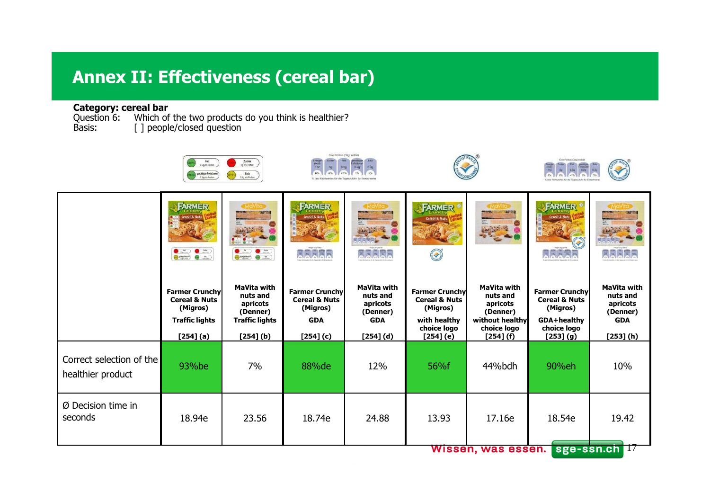## **Annex II: Effectiveness (cereal bar)**

### **Category: cereal bar**

Question 6: Which of the two products do you think is healthier? Basis: [ ] people/closed question

|                                               | Fett<br>3.5g pro Portion<br>gesättigte Fettsäum                                                     | Zucker<br>Sppro Porton<br>Salz<br>A Jig pro Portion                                                               | Eine Portion (30g) enthalt<br>Energia<br>(kcal)<br>112<br><b>AV</b>                        |                                                                                       |                                                                                                           |                                                                                                       | Eine Portion (30g) enthält                                                                              |                                                                                   |
|-----------------------------------------------|-----------------------------------------------------------------------------------------------------|-------------------------------------------------------------------------------------------------------------------|--------------------------------------------------------------------------------------------|---------------------------------------------------------------------------------------|-----------------------------------------------------------------------------------------------------------|-------------------------------------------------------------------------------------------------------|---------------------------------------------------------------------------------------------------------|-----------------------------------------------------------------------------------|
|                                               | <b>FARMER</b><br>Cereal & Nuts<br>$\bullet$ $\bullet$ $\bullet$                                     | $\begin{array}{c} \bullet \Rightarrow \bullet \Rightarrow \\ \bullet \Rightarrow \bullet \Rightarrow \end{array}$ | FARMER<br>Cereal & Nuts<br><b>Jalaia</b>                                                   | هماماه                                                                                | FARMER<br><b>Cereal &amp; Nuts</b><br>S                                                                   | 20 34                                                                                                 | <b>FARMER</b> <sup>®</sup><br>Cereal & Nots<br>a alarak                                                 |                                                                                   |
|                                               | <b>Farmer Crunchy</b><br><b>Cereal &amp; Nuts</b><br>(Migros)<br><b>Traffic lights</b><br>[254] (a) | MaVita with<br>nuts and<br>apricots<br>(Denner)<br><b>Traffic lights</b><br>$[254]$ (b)                           | <b>Farmer Crunchy</b><br><b>Cereal &amp; Nuts</b><br>(Migros)<br><b>GDA</b><br>$[254]$ (c) | <b>MaVita with</b><br>nuts and<br>apricots<br>(Denner)<br><b>GDA</b><br>$[254]$ $(d)$ | <b>Farmer Crunchy</b><br><b>Cereal &amp; Nuts</b><br>(Migros)<br>with healthy<br>choice logo<br>[254] (e) | <b>MaVita with</b><br>nuts and<br>apricots<br>(Denner)<br>without healthy<br>choice logo<br>[254] (f) | <b>Farmer Crunchy</b><br><b>Cereal &amp; Nuts</b><br>(Migros)<br>GDA+healthy<br>choice logo<br>[253](9) | <b>MaVita with</b><br>nuts and<br>apricots<br>(Denner)<br><b>GDA</b><br>[253] (h) |
| Correct selection of the<br>healthier product | 93%be                                                                                               | 7%                                                                                                                | 88%de                                                                                      | 12%                                                                                   | 56%f                                                                                                      | 44%bdh                                                                                                | 90%eh                                                                                                   | 10%                                                                               |
| Ø Decision time in<br>seconds                 | 18.94e                                                                                              | 23.56                                                                                                             | 18.74e                                                                                     | 24.88                                                                                 | 13.93                                                                                                     | 17.16e<br>Wissen, was essen.                                                                          | 18.54e                                                                                                  | 19.42<br>sge-ssn.ch II                                                            |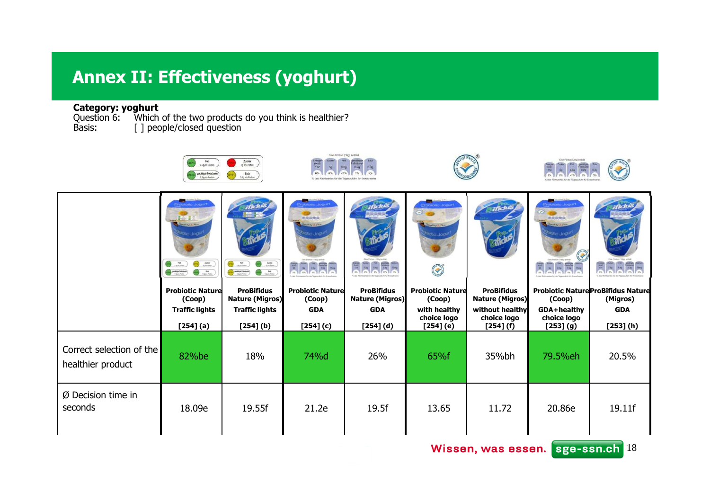# **Annex II: Effectiveness (yoghurt)**

**Category: yoghurt**<br>Question 6: Which of the two products do you think is healthier?<br>Basis: [ ] people/closed question

|                                               | Fett<br>1.5g pro Portion<br>gesättigte Fettsäuren                                                                                                                                                                                                                                                                                                                                                                                                                                                  | Zucker<br>Sp pro Porton<br>Salz<br>0.3g pro Portion                                                                                                  | Eine Portion (30g) enthält<br>$rac{1}{112}$<br>6%<br>% des Richtwertes für die Tageszufuhr für Erwachsen |                                             |                                                                |                                             | Eine Portion (30g) enthält                                             |                                                       |
|-----------------------------------------------|----------------------------------------------------------------------------------------------------------------------------------------------------------------------------------------------------------------------------------------------------------------------------------------------------------------------------------------------------------------------------------------------------------------------------------------------------------------------------------------------------|------------------------------------------------------------------------------------------------------------------------------------------------------|----------------------------------------------------------------------------------------------------------|---------------------------------------------|----------------------------------------------------------------|---------------------------------------------|------------------------------------------------------------------------|-------------------------------------------------------|
|                                               | $Area \times R$<br>$\begin{picture}(20,10) \put(0,0){\line(1,0){10}} \put(15,0){\line(1,0){10}} \put(15,0){\line(1,0){10}} \put(15,0){\line(1,0){10}} \put(15,0){\line(1,0){10}} \put(15,0){\line(1,0){10}} \put(15,0){\line(1,0){10}} \put(15,0){\line(1,0){10}} \put(15,0){\line(1,0){10}} \put(15,0){\line(1,0){10}} \put(15,0){\line(1,0){10}} \put(15,0){\line(1$<br>$\bigodot$ $\frac{4\pi}{1000000}$<br>$\bigodot$ $\frac{4a}{12a+16a}$<br>$\bigodot \min_{1 \leq j \leq n} \text{Poisson}$ | $\bigodot$ $\frac{4\pi}{1000}$<br>$\frac{1}{\log n \log n}$<br>$\bigodot$ the fields<br>$\bigcirc \min_{1 \leq j \leq \ell \leq n} \mathsf{Poisson}$ | obiotic Jogurt<br>病房高贵高<br><b>Seattle St. Phin</b><br>biotic Jogu                                        | 哥                                           | <b>Diotic Jogurt</b><br>dita S. Phin<br><b>Intic Jost</b><br>O |                                             | <b>Station Jogurt</b><br>两向高度类<br>Guatrice & Flore<br>biotic Jodi<br>Y |                                                       |
|                                               | <b>Probiotic Nature</b><br>(Coop)                                                                                                                                                                                                                                                                                                                                                                                                                                                                  | <b>ProBifidus</b><br><b>Nature (Migros)</b>                                                                                                          | <b>Probiotic Nature</b><br>(Coop)                                                                        | <b>ProBifidus</b><br><b>Nature (Migros)</b> | <b>Probiotic Nature</b><br>(Coop)                              | <b>ProBifidus</b><br><b>Nature (Migros)</b> | (Coop)                                                                 | <b>Probiotic Nature ProBifidus Nature</b><br>(Migros) |
|                                               | <b>Traffic lights</b><br>[254] (a)                                                                                                                                                                                                                                                                                                                                                                                                                                                                 | <b>Traffic lights</b><br>$[254]$ (b)                                                                                                                 | <b>GDA</b><br>$[254]$ (c)                                                                                | <b>GDA</b><br>$[254]$ $(d)$                 | with healthy<br>choice logo<br>[254] (e)                       | without healthy<br>choice logo<br>[254] (f) | GDA+healthy<br>choice logo<br>[253] (g)                                | <b>GDA</b><br>[253] (h)                               |
| Correct selection of the<br>healthier product | 82%be                                                                                                                                                                                                                                                                                                                                                                                                                                                                                              | 18%                                                                                                                                                  | 74%d                                                                                                     | 26%                                         | 65%f                                                           | 35%bh                                       | 79.5%eh                                                                | 20.5%                                                 |
| $Ø$ Decision time in<br>seconds               | 18.09e                                                                                                                                                                                                                                                                                                                                                                                                                                                                                             | 19.55f                                                                                                                                               | 21.2e                                                                                                    | 19.5f                                       | 13.65                                                          | 11.72                                       | 20.86e                                                                 | 19.11f                                                |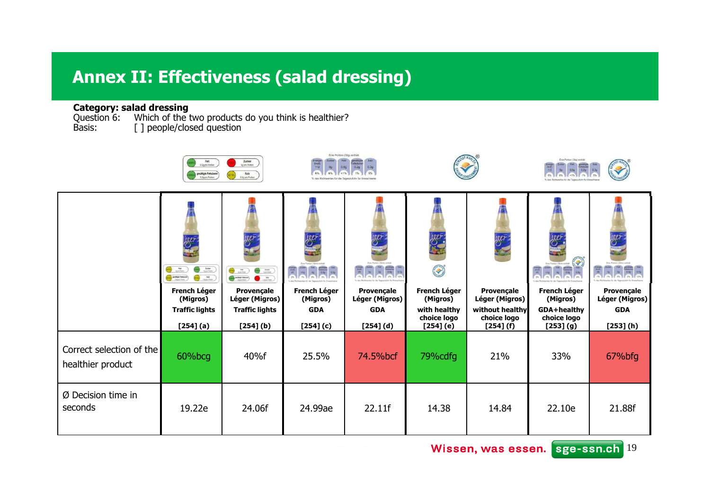### **Annex II: Effectiveness (salad dressing)**

### **Category: salad dressing**

Question 6: Which of the two products do you think is healthier?<br>Basis: [ ] people/closed question

|                                               | Fett<br>1.5g pro Portion<br>gesättigte Fettsäuren<br>0.2g pro Porton                                                                                                               | Zucker<br>Sp pro Porton<br>Salz<br>0.3g pro Portion                                                                            | Eine Portion (30g) enthalt<br>chargie<br>(kical)<br>112 |                              |                                               |                                             | Eine Portion (30g) enthält                          |                              |
|-----------------------------------------------|------------------------------------------------------------------------------------------------------------------------------------------------------------------------------------|--------------------------------------------------------------------------------------------------------------------------------|---------------------------------------------------------|------------------------------|-----------------------------------------------|---------------------------------------------|-----------------------------------------------------|------------------------------|
|                                               | jaei<br>$\bigodot$ take<br>$\bigodot$ and $\bigodot$<br>$\bigodot \overbrace{\qquad \qquad }^{mmp \; from}$<br>$\bigcirc$ $\bigcirc$ $\bigcirc$<br><b>French Léger</b><br>(Migros) | $\bigcirc$ $\bigcirc$ $\bigcirc$<br>$\bullet$<br>$\bigcirc$ matrix)<br>$\bullet$ . $\bullet$ .<br>Provençale<br>Léger (Migros) | iner<br>S<br>ERRER<br><b>French Léger</b><br>(Migros)   | Provençale<br>Léger (Migros) | iger.<br>S<br><b>French Léger</b><br>(Migros) | iger:<br>Provençale<br>Léger (Migros)       | jaer<br>THE<br>雪<br><b>French Léger</b><br>(Migros) | Provençale<br>Léger (Migros) |
|                                               | <b>Traffic lights</b><br>[254] (a)                                                                                                                                                 | <b>Traffic lights</b><br>$[254]$ (b)                                                                                           | <b>GDA</b><br>[254] (c)                                 | <b>GDA</b><br>$[254]$ $(d)$  | with healthy<br>choice logo<br>[254] (e)      | without healthy<br>choice logo<br>[254] (f) | GDA+healthy<br>choice logo<br>[253] (g)             | <b>GDA</b><br>[253] (h)      |
| Correct selection of the<br>healthier product | 60%bcg                                                                                                                                                                             | 40%f                                                                                                                           | 25.5%                                                   | 74.5%bcf                     | 79%cdfg                                       | 21%                                         | 33%                                                 | 67%bfg                       |
| Ø Decision time in<br>seconds                 | 19.22e                                                                                                                                                                             | 24.06f                                                                                                                         | 24.99ae                                                 | 22.11f                       | 14.38                                         | 14.84                                       | 22.10e                                              | 21.88f                       |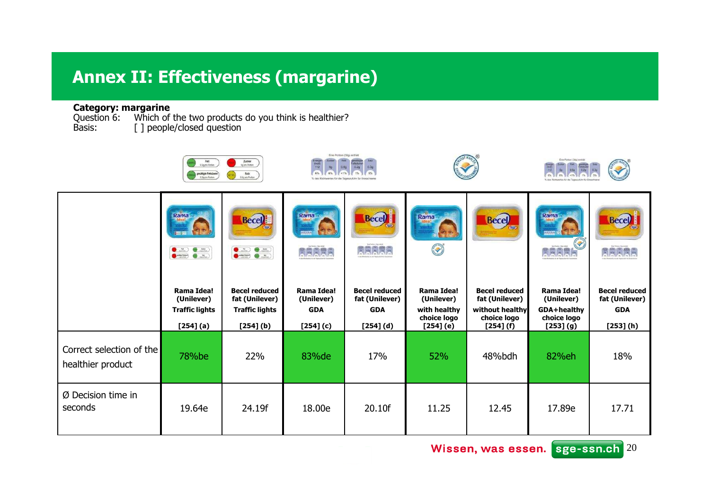## **Annex II: Effectiveness (margarine)**

**Category: margarine**<br>Question 6: Which of the two products do you think is healthier?<br>Basis: [ ] people/closed question

|                                               | Fett<br>9.5g pro Portion<br>gesättigte Fettsäurer<br>0.2g pro Porton | Zucker<br>Spipe Portion<br>Salz<br>0.3g pro Portion     | Eine Portion (30g) enthalt<br>Energie<br>(kcal)<br>112<br>6% | 0.20                                   |                                          |                                             | Eine Portion (30g) enthält              |                                        |
|-----------------------------------------------|----------------------------------------------------------------------|---------------------------------------------------------|--------------------------------------------------------------|----------------------------------------|------------------------------------------|---------------------------------------------|-----------------------------------------|----------------------------------------|
|                                               | Rama<br>$\bullet$ $\bullet$ $\bullet$                                | <b>Becel</b><br>$\bullet$ $\bullet$ $\bullet$ $\bullet$ | Rama<br>22<br><b>Raaba</b>                                   | <b>Becel</b><br><b>RRARE</b>           | Rama<br>D                                | <b>Becel</b>                                | Rama                                    | <b>Becel</b>                           |
|                                               | Rama Idea!<br>(Unilever)                                             | <b>Becel reduced</b><br>fat (Unilever)                  | <b>Rama Idea!</b><br>(Unilever)                              | <b>Becel reduced</b><br>fat (Unilever) | Rama Idea!<br>(Unilever)                 | <b>Becel reduced</b><br>fat (Unilever)      | Rama Idea!<br>(Unilever)                | <b>Becel reduced</b><br>fat (Unilever) |
|                                               | <b>Traffic lights</b><br>[254] (a)                                   | <b>Traffic lights</b><br>$[254]$ (b)                    | <b>GDA</b><br>$[254]$ (c)                                    | <b>GDA</b><br>$[254] (d)$              | with healthy<br>choice logo<br>[254] (e) | without healthy<br>choice logo<br>[254] (f) | GDA+healthy<br>choice logo<br>[253] (g) | <b>GDA</b><br>[253] (h)                |
| Correct selection of the<br>healthier product | 78%be                                                                | 22%                                                     | 83% de                                                       | 17%                                    | 52%                                      | 48%bdh                                      | 82%eh                                   | 18%                                    |
| Ø Decision time in<br>seconds                 | 19.64e                                                               | 24.19f                                                  | 18.00e                                                       | 20.10f                                 | 11.25                                    | 12.45                                       | 17.89e                                  | 17.71                                  |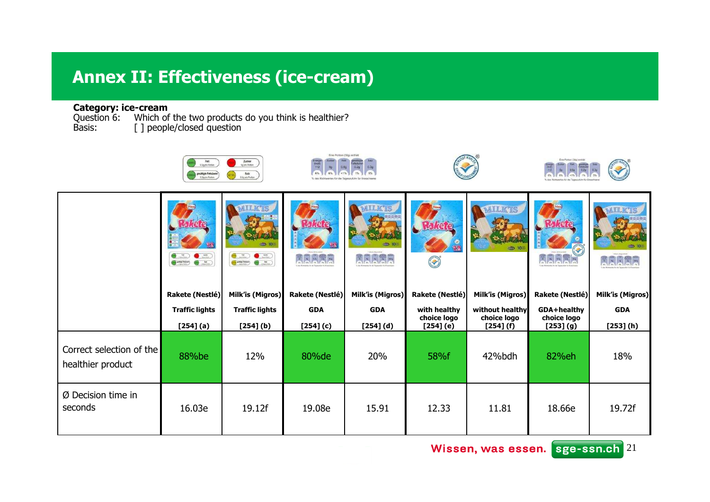# **Annex II: Effectiveness (ice-cream )**

### **Category: ice-cream**<br>Question 6: Which of

Question 6: Which of the two products do you think is healthier?<br>Basis: [ ] people/closed question

|                                               | Fett<br>1.5g pro Portion<br>gesättigte Fettsäuren<br>0.2g pro Porton | Zucker<br>Sp pro Porton<br>Salz<br>0.3g pro Portion                                           | Eine Portion (30g) enthält<br>Energie<br>(kcal)<br>112<br>6% | 0.20                           |                                            |                                             | Eine Portion (30g) enthält              |                         |
|-----------------------------------------------|----------------------------------------------------------------------|-----------------------------------------------------------------------------------------------|--------------------------------------------------------------|--------------------------------|--------------------------------------------|---------------------------------------------|-----------------------------------------|-------------------------|
|                                               | $\bullet$ $\bullet$ $\bullet$                                        | <b>AILKTS</b><br>$\bullet$ $=$<br>$\bullet$ $\sim$<br>$\bullet$ $\bullet$ $\bullet$ $\bullet$ | aaraa                                                        | <b>AILKTIS</b><br><b>Jakar</b> | S                                          | <b>MILK'IS</b>                              |                                         | <b>MILK</b>             |
|                                               | Rakete (Nestlé)                                                      | <b>Milk'is (Migros)</b>                                                                       | <b>Rakete (Nestlé)</b>                                       | <b>Milk'is (Migros)</b>        | Rakete (Nestlé)                            | <b>Milk'is (Migros)</b>                     | Rakete (Nestlé)                         | <b>Milk'is (Migros)</b> |
|                                               | <b>Traffic lights</b><br>[254] (a)                                   | <b>Traffic lights</b><br>$[254]$ (b)                                                          | <b>GDA</b><br>[254] (c)                                      | <b>GDA</b><br>$[254] (d)$      | with healthy<br>choice logo<br>$[254]$ (e) | without healthy<br>choice logo<br>[254] (f) | GDA+healthy<br>choice logo<br>[253] (g) | <b>GDA</b><br>[253] (h) |
| Correct selection of the<br>healthier product | 88%be                                                                | 12%                                                                                           | 80% de                                                       | 20%                            | 58%f                                       | 42%bdh                                      | 82%eh                                   | 18%                     |
| $Ø$ Decision time in<br>seconds               | 16.03e                                                               | 19.12f                                                                                        | 19.08e                                                       | 15.91                          | 12.33                                      | 11.81                                       | 18.66e                                  | 19.72f                  |

Wissen, was essen. sge-ssn.ch<sup>21</sup>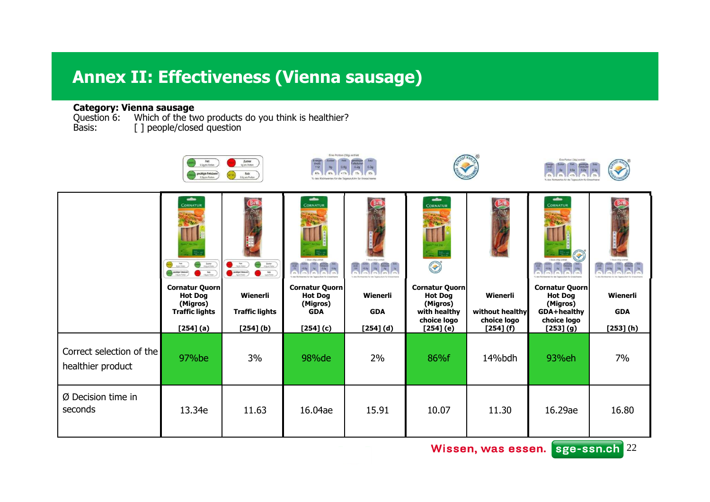### **Annex II: Effectiveness (Vienna sausage)**

**Category: Vienna sausage**<br>Question 6: Which of the two products do you think is healthier?<br>Basis: [ ] people/closed question

|                                               | Fett<br>1.5g pro Portion<br>gesättigte Fettsäurer<br>0.2g pro Porton                                                                                                                                                         | Zucker<br>Sp.pro Purton<br>Salz<br>0.3g pro Portion                                                                                                                                                                                                                                                                                                                                                                                                        | Eine Portion (30g) enthält<br>Energie<br>(kcal)<br>112<br>6%      | 0.20                   |                                                                                    |                                            | Eine Portion (30g) enthält                                                        |                        |
|-----------------------------------------------|------------------------------------------------------------------------------------------------------------------------------------------------------------------------------------------------------------------------------|------------------------------------------------------------------------------------------------------------------------------------------------------------------------------------------------------------------------------------------------------------------------------------------------------------------------------------------------------------------------------------------------------------------------------------------------------------|-------------------------------------------------------------------|------------------------|------------------------------------------------------------------------------------|--------------------------------------------|-----------------------------------------------------------------------------------|------------------------|
|                                               | $\overline{\phantom{a}}$<br><b>CORNATUR</b><br>$\frac{\hbar\Delta\phi}{\kappa_{\rm{S}}\mu\omega_{\rm{DE}}}$<br>$\frac{4m}{nm}$<br>$\sum_{m,n=1}^{M}$<br>$\bigodot \underset{1 \leq p \leq 1 \leq q \leq r}{\text{minimize}}$ | $\frac{b\Delta\psi}{\omega_{\rm SFR} \omega_{\rm MS}}$<br>$\sum_{n=1}^{\infty}$<br>$\begin{picture}(20,10) \put(0,0){\line(1,0){10}} \put(15,0){\line(1,0){10}} \put(15,0){\line(1,0){10}} \put(15,0){\line(1,0){10}} \put(15,0){\line(1,0){10}} \put(15,0){\line(1,0){10}} \put(15,0){\line(1,0){10}} \put(15,0){\line(1,0){10}} \put(15,0){\line(1,0){10}} \put(15,0){\line(1,0){10}} \put(15,0){\line(1,0){10}} \put(15,0){\line(1$<br>$\frac{3\pi}{2}$ | $\frac{1}{2}$<br><b>CORNATUR</b><br>Stor (the entral)             | I Ston (No wind<br>E   | $\frac{1}{2}$<br>CORNATUR<br>$\frac{1}{2}$<br><b>Cardinal Company</b>              |                                            | $\bullet$<br><b>CORNATUR</b><br><b>Contractor</b><br>Size, (dg) entail<br>冒       | Succidig-enrule        |
|                                               | Cornatur Quorn<br><b>Hot Dog</b><br>(Migros)<br><b>Traffic lights</b>                                                                                                                                                        | Wienerli<br><b>Traffic lights</b>                                                                                                                                                                                                                                                                                                                                                                                                                          | <b>Cornatur Quorn</b><br><b>Hot Dog</b><br>(Migros)<br><b>GDA</b> | Wienerli<br><b>GDA</b> | <b>Cornatur Quorn</b><br><b>Hot Dog</b><br>(Migros)<br>with healthy<br>choice logo | Wienerli<br>without healthy<br>choice logo | <b>Cornatur Quorn</b><br><b>Hot Dog</b><br>(Migros)<br>GDA+healthy<br>choice logo | Wienerli<br><b>GDA</b> |
| Correct selection of the<br>healthier product | [254] (a)<br>97%be                                                                                                                                                                                                           | $[254]$ (b)<br>3%                                                                                                                                                                                                                                                                                                                                                                                                                                          | [254] (c)<br>98%de                                                | $[254]$ (d)<br>2%      | [254] (e)<br>86%f                                                                  | [254] (f)<br>14%bdh                        | [253] (g)<br>93%eh                                                                | [253] (h)<br>7%        |
| Ø Decision time in<br>seconds                 | 13.34e                                                                                                                                                                                                                       | 11.63                                                                                                                                                                                                                                                                                                                                                                                                                                                      | 16.04ae                                                           | 15.91                  | 10.07                                                                              | 11.30                                      | 16.29ae                                                                           | 16.80                  |

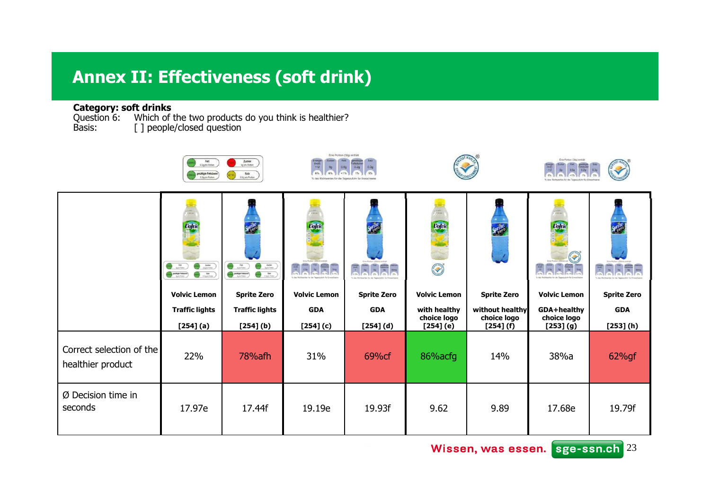### **Annex II: Effectiveness (soft drink)**

### **Category: soft drinks**<br>Question 6: Which of

Question 6: Which of the two products do you think is healthier?<br>Basis: [ ] people/closed question

|                                               | Fett<br>3.5g pro Portion<br>gesättigte Fettsäuren                                                                                                              | Zucker<br>Sp.pro Purton<br>Salz<br>0.3g pro Portion                                                                                                     | Eine Portion (30g) enthalt<br>Energie<br>(kical)<br>112<br>50<br>6%<br>% des Richts | 0.20                            |                                                                                                                                                         |                                | Eine Portion (30g) enthält        |                                                             |
|-----------------------------------------------|----------------------------------------------------------------------------------------------------------------------------------------------------------------|---------------------------------------------------------------------------------------------------------------------------------------------------------|-------------------------------------------------------------------------------------|---------------------------------|---------------------------------------------------------------------------------------------------------------------------------------------------------|--------------------------------|-----------------------------------|-------------------------------------------------------------|
|                                               | <b>Volvic</b><br>$\bigodot$ $\frac{1}{2}$<br>$\bigcirc$ $\frac{loss}{W}$<br>$\bigodot \min_{i \in \mathcal{I}} \text{base}$<br>$\bigodot$ $\frac{3m}{1000000}$ | $\bigcirc$ is $\bigcirc$<br>$\bigodot$ $\frac{ta}{sinin}$<br>$\bigodot \underset{1\leq i\leq 2m}{\text{minimize}}$<br>$\bigcirc$ the control $\bigcirc$ | Volvic<br>EREEE                                                                     | <b>yds</b><br><b>ARRIE</b><br>Ŧ | in eremoù<br>Poet ann<br>Volvic<br><b>Contract Contract Contract Contract Contract Contract Contract Contract Contract Contract Contract Contract C</b> | PHO                            | Volvia<br><b>Contractor</b><br>25 | $\begin{array}{c c c c} \hline 1 & 0 \\ \hline \end{array}$ |
|                                               | <b>Volvic Lemon</b>                                                                                                                                            | <b>Sprite Zero</b>                                                                                                                                      | <b>Volvic Lemon</b>                                                                 | <b>Sprite Zero</b>              | <b>Volvic Lemon</b>                                                                                                                                     | <b>Sprite Zero</b>             | <b>Volvic Lemon</b>               | <b>Sprite Zero</b>                                          |
|                                               | <b>Traffic lights</b>                                                                                                                                          | <b>Traffic lights</b>                                                                                                                                   | <b>GDA</b>                                                                          | <b>GDA</b>                      | with healthy<br>choice logo                                                                                                                             | without healthy<br>choice logo | GDA+healthy<br>choice logo        | <b>GDA</b>                                                  |
|                                               | [254] (a)                                                                                                                                                      | $[254]$ (b)                                                                                                                                             | $[254]$ (c)                                                                         | $[254]$ $(d)$                   | [254] (e)                                                                                                                                               | [254] (f)                      | [253] (g)                         | [253] (h)                                                   |
| Correct selection of the<br>healthier product | 22%                                                                                                                                                            | 78% afh                                                                                                                                                 | 31%                                                                                 | 69%cf                           | 86% acfg                                                                                                                                                | 14%                            | 38%a                              | 62%gf                                                       |
| Ø Decision time in<br>seconds                 | 17.97e                                                                                                                                                         | 17.44f                                                                                                                                                  | 19.19e                                                                              | 19.93f                          | 9.62                                                                                                                                                    | 9.89                           | 17.68e                            | 19.79f                                                      |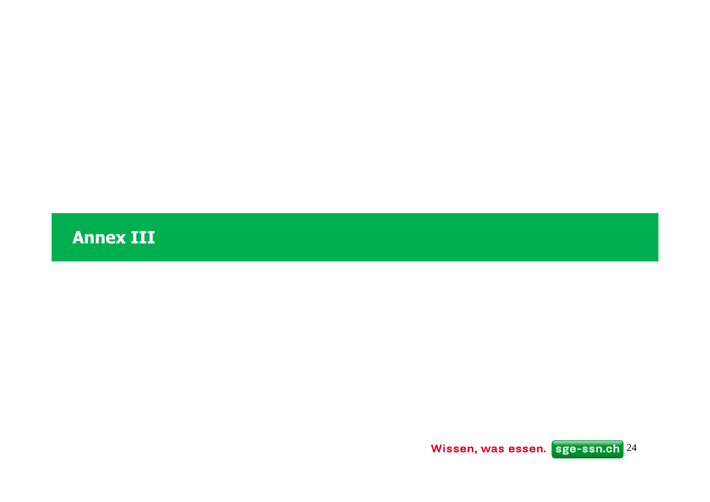**Annex III**

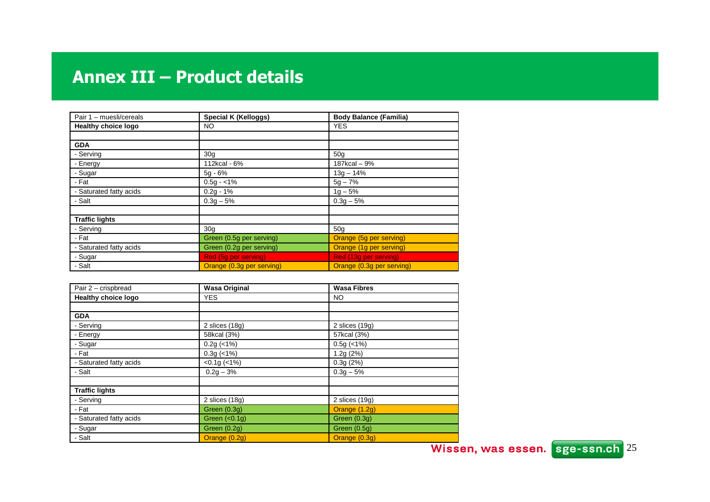| Pair 1 - muesli/cereals    | Special K (Kelloggs)      | <b>Body Balance (Familia)</b> |
|----------------------------|---------------------------|-------------------------------|
| <b>Healthy choice logo</b> | NO.                       | <b>YES</b>                    |
|                            |                           |                               |
| <b>GDA</b>                 |                           |                               |
| - Serving                  | 30 <sub>g</sub>           | 50 <sub>q</sub>               |
| - Energy                   | 112kcal - 6%              | 187kcal - 9%                  |
| - Sugar                    | $5q - 6%$                 | $13g - 14%$                   |
| - Fat                      | $0.5g - <1%$              | $5g - 7%$                     |
| - Saturated fatty acids    | $0.2q - 1%$               | $1q - 5%$                     |
| - Salt                     | $0.3g - 5%$               | $0.3g - 5%$                   |
|                            |                           |                               |
| <b>Traffic lights</b>      |                           |                               |
| - Serving                  | 30 <sub>q</sub>           | 50 <sub>q</sub>               |
| - Fat                      | Green (0.5g per serving)  | Orange (5g per serving)       |
| - Saturated fatty acids    | Green (0.2g per serving)  | Orange (1g per serving)       |
| - Sugar                    | Red (5g per serving)      | Red (13g per serving)         |
| - Salt                     | Orange (0.3g per serving) | Orange (0.3g per serving)     |

| Pair 2 - crispbread     | <b>Wasa Original</b> | <b>Wasa Fibres</b> |  |
|-------------------------|----------------------|--------------------|--|
| Healthy choice logo     | <b>YES</b>           | NO.                |  |
|                         |                      |                    |  |
| <b>GDA</b>              |                      |                    |  |
| - Serving               | 2 slices $(18g)$     | 2 slices $(19g)$   |  |
| - Energy                | 58kcal (3%)          | 57kcal (3%)        |  |
| - Sugar                 | $0.2g$ (<1%)         | $0.5g$ (<1%)       |  |
| - Fat                   | $0.3g$ (<1%)         | 1.2g(2%)           |  |
| - Saturated fatty acids | $<0.1g$ ( $<1\%$ )   | 0.3g(2%)           |  |
| - Salt                  | $0.2g - 3%$          | $0.3g - 5%$        |  |
|                         |                      |                    |  |
| <b>Traffic lights</b>   |                      |                    |  |
| - Serving               | 2 slices $(18g)$     | 2 slices $(19g)$   |  |
| - Fat                   | Green (0.3g)         | Orange (1.2g)      |  |
| - Saturated fatty acids | Green $(0.1g)$       | Green (0.3g)       |  |
| - Sugar                 | Green $(0.2g)$       | Green (0.5g)       |  |
| - Salt                  | Orange (0.2g)        | Orange (0.3g)      |  |

25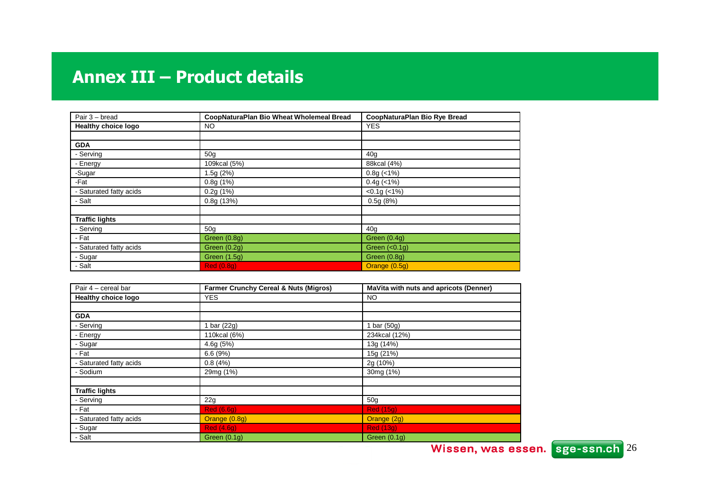| Pair 3 - bread             | CoopNaturaPlan Bio Wheat Wholemeal Bread | CoopNaturaPlan Bio Rye Bread |
|----------------------------|------------------------------------------|------------------------------|
| <b>Healthy choice logo</b> | <b>NO</b>                                | <b>YES</b>                   |
|                            |                                          |                              |
| <b>GDA</b>                 |                                          |                              |
| - Serving                  | 50 <sub>g</sub>                          | 40 <sub>g</sub>              |
| - Energy                   | 109kcal (5%)                             | 88kcal (4%)                  |
| -Sugar                     | 1.5g (2%)                                | $0.8g$ (<1%)                 |
| -Fat                       | 0.8g(1%)                                 | $0.4g$ (<1%)                 |
| - Saturated fatty acids    | 0.2g(1%)                                 | $<0.1g$ ( $<1\%$ )           |
| - Salt                     | 0.8g(13%)                                | 0.5g(8%)                     |
|                            |                                          |                              |
| <b>Traffic lights</b>      |                                          |                              |
| - Serving                  | 50 <sub>g</sub>                          | 40 <sub>g</sub>              |
| - Fat                      | Green (0.8g)                             | Green (0.4g)                 |
| - Saturated fatty acids    | Green (0.2g)                             | Green $(0.1g)$               |
| - Sugar                    | Green (1.5g)                             | Green (0.8g)                 |
| - Salt                     | <b>Red (0.8g)</b>                        | Orange (0.5g)                |

| Pair 4 - cereal bar        | Farmer Crunchy Cereal & Nuts (Migros) | MaVita with nuts and apricots (Denner) |
|----------------------------|---------------------------------------|----------------------------------------|
| <b>Healthy choice logo</b> | <b>YES</b>                            | NO.                                    |
|                            |                                       |                                        |
| <b>GDA</b>                 |                                       |                                        |
| - Serving                  | 1 bar (22g)                           | 1 bar $(50g)$                          |
| - Energy                   | 110kcal (6%)                          | 234kcal (12%)                          |
| - Sugar                    | 4.6g(5%)                              | 13g (14%)                              |
| - Fat                      | 6.6(9%)                               | 15g (21%)                              |
| - Saturated fatty acids    | 0.8(4%)                               | 2g (10%)                               |
| - Sodium                   | 29mg (1%)                             | 30mg (1%)                              |
|                            |                                       |                                        |
| <b>Traffic lights</b>      |                                       |                                        |
| - Serving                  | 22g                                   | 50 <sub>g</sub>                        |
| - Fat                      | <b>Red</b> (6.6g)                     | <b>Red (15g)</b>                       |
| - Saturated fatty acids    | Orange (0.8g)                         | Orange (2g)                            |
| - Sugar                    | <b>Red</b> (4.6g)                     | <b>Red (13g)</b>                       |
| - Salt                     | Green (0.1g)                          | Green $(0.1g)$                         |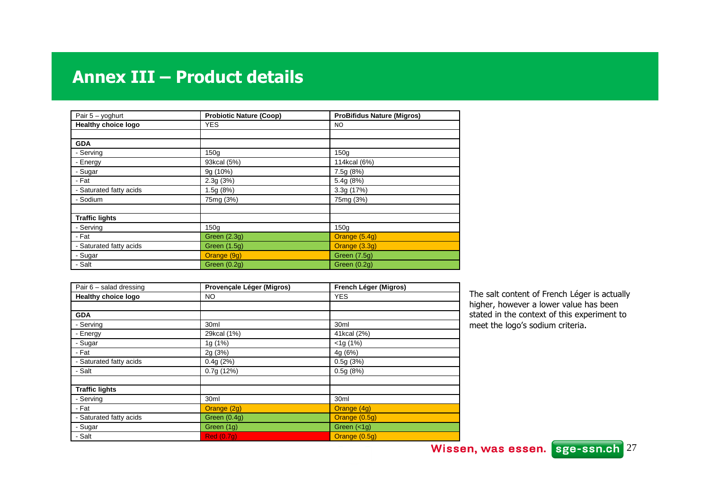| Pair $5 - y$ oghurt     | <b>Probiotic Nature (Coop)</b> | <b>ProBifidus Nature (Migros)</b> |
|-------------------------|--------------------------------|-----------------------------------|
| Healthy choice logo     | <b>YES</b>                     | <b>NO</b>                         |
|                         |                                |                                   |
| <b>GDA</b>              |                                |                                   |
| - Serving               | 150q                           | 150g                              |
| - Energy                | 93kcal (5%)                    | 114kcal (6%)                      |
| - Sugar                 | 9g (10%)                       | 7.5g(8%)                          |
| - Fat                   | 2.3g(3%)                       | 5.4g (8%)                         |
| - Saturated fatty acids | 1.5g (8%)                      | 3.3g (17%)                        |
| - Sodium                | 75mg (3%)                      | 75mg (3%)                         |
|                         |                                |                                   |
| <b>Traffic lights</b>   |                                |                                   |
| - Serving               | 150 <sub>g</sub>               | 150 <sub>q</sub>                  |
| - Fat                   | Green (2.3g)                   | Orange (5.4g)                     |
| - Saturated fatty acids | Green (1.5g)                   | Orange (3.3g)                     |
| - Sugar                 | Orange (9g)                    | Green (7.5g)                      |
| - Salt                  | <b>Green</b> (0.2g)            | Green $(0.2g)$                    |

| Pair $6$ – salad dressing  | Provençale Léger (Migros) | French Léger (Migros) |
|----------------------------|---------------------------|-----------------------|
| <b>Healthy choice logo</b> | NO.                       | <b>YES</b>            |
|                            |                           |                       |
| <b>GDA</b>                 |                           |                       |
| - Serving                  | 30 <sub>ml</sub>          | 30 <sub>ml</sub>      |
| - Energy                   | 29kcal (1%)               | 41kcal (2%)           |
| - Sugar                    | 1g (1%)                   | $<$ 1g (1%)           |
| - Fat                      | 2g (3%)                   | 4g (6%)               |
| - Saturated fatty acids    | 0.4g(2%)                  | 0.5g(3%)              |
| - Salt                     | 0.7g(12%)                 | 0.5g(8%)              |
|                            |                           |                       |
| <b>Traffic lights</b>      |                           |                       |
| - Serving                  | 30ml                      | 30 <sub>ml</sub>      |
| - Fat                      | Orange (2g)               | Orange (4g)           |
| - Saturated fatty acids    | Green (0.4g)              | Orange (0.5g)         |
| - Sugar                    | Green (1g)                | Green $(<1g)$         |
| - Salt                     | <b>Red (0.7g)</b>         | Orange (0.5g)         |

The salt content of French Léger is actually higher, however a lower value has been stated in the context of this experiment to meet the logo's sodium criteria.

Wissen, was essen. sge-ssn.ch<sup>27</sup>

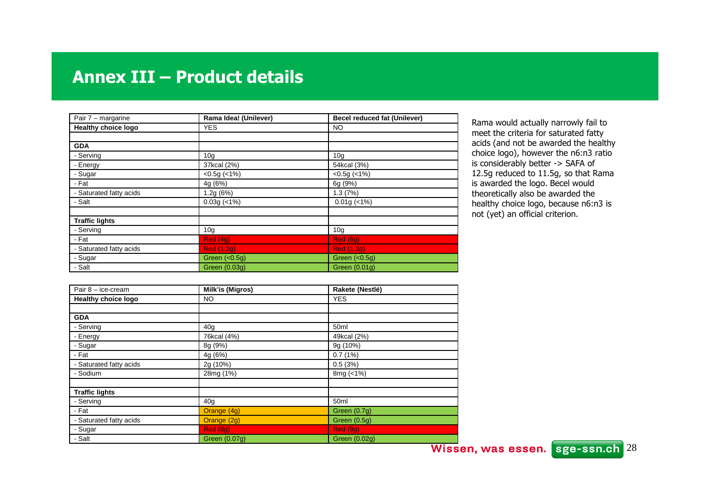| Pair 7 - margarine      | Rama Idea! (Unilever) | <b>Becel reduced fat (Unilever)</b> |
|-------------------------|-----------------------|-------------------------------------|
| Healthy choice logo     | <b>YES</b>            | NO.                                 |
|                         |                       |                                     |
| <b>GDA</b>              |                       |                                     |
| - Serving               | 10 <sub>g</sub>       | 10 <sub>g</sub>                     |
| - Energy                | 37kcal (2%)           | 54kcal (3%)                         |
| - Sugar                 | $< 0.5$ g ( $< 1\%$ ) | $<0.5g$ ( $<1\%$ )                  |
| - Fat                   | 4g(6%)                | 6g (9%)                             |
| - Saturated fatty acids | 1.2g(6%)              | 1.3(7%)                             |
| - Salt                  | $0.03g$ (<1%)         | $0.01g$ (<1%)                       |
|                         |                       |                                     |
| <b>Traffic lights</b>   |                       |                                     |
| - Serving               | 10 <sub>g</sub>       | 10 <sub>g</sub>                     |
| - Fat                   | Red(4g)               | Red (6g)                            |
| - Saturated fatty acids | <b>Red (1.2g)</b>     | <b>Red (1.3g)</b>                   |
| - Sugar                 | Green $(0.5q)$        | Green $(0.5q)$                      |
| - Salt                  | Green (0.03g)         | Green (0.01q)                       |

Rama would actually narrowly fail to meet the criteria for saturated fatty acids (and not be awarded the healthy choice logo), however the n6:n3 ratio is considerably better -> SAFA of 12.5g reduced to 11.5g, so that Rama<br>is awarded the logo. Becel would is awarded the logo. Becel would theoretically also be awarded the healthy choice logo, because n6:n3 is<br>not (vet) an official criterion not (yet) an official criterion.

| Pair $8 - ice-cream$       | Milk'is (Migros) | Rakete (Nestlé)  |  |
|----------------------------|------------------|------------------|--|
| <b>Healthy choice logo</b> | NO.              | <b>YES</b>       |  |
|                            |                  |                  |  |
| <b>GDA</b>                 |                  |                  |  |
| - Serving                  | 40 <sub>g</sub>  | 50 <sub>ml</sub> |  |
| - Energy                   | 76kcal (4%)      | 49kcal (2%)      |  |
| - Sugar                    | 8g (9%)          | 9g (10%)         |  |
| - Fat                      | 4g (6%)          | 0.7(1%)          |  |
| - Saturated fatty acids    | 2g (10%)         | 0.5(3%)          |  |
| - Sodium                   | 28mg (1%)        | 8mg (<1%)        |  |
|                            |                  |                  |  |
| <b>Traffic lights</b>      |                  |                  |  |
| - Serving                  | 40g              | 50 <sub>ml</sub> |  |
| - Fat                      | Orange (4g)      | Green (0.7g)     |  |
| - Saturated fatty acids    | Orange (2g)      | Green (0.5g)     |  |
| - Sugar                    | <b>Red (8g)</b>  | Red(9g)          |  |
| - Salt                     | Green (0.07q)    | Green (0.02q)    |  |